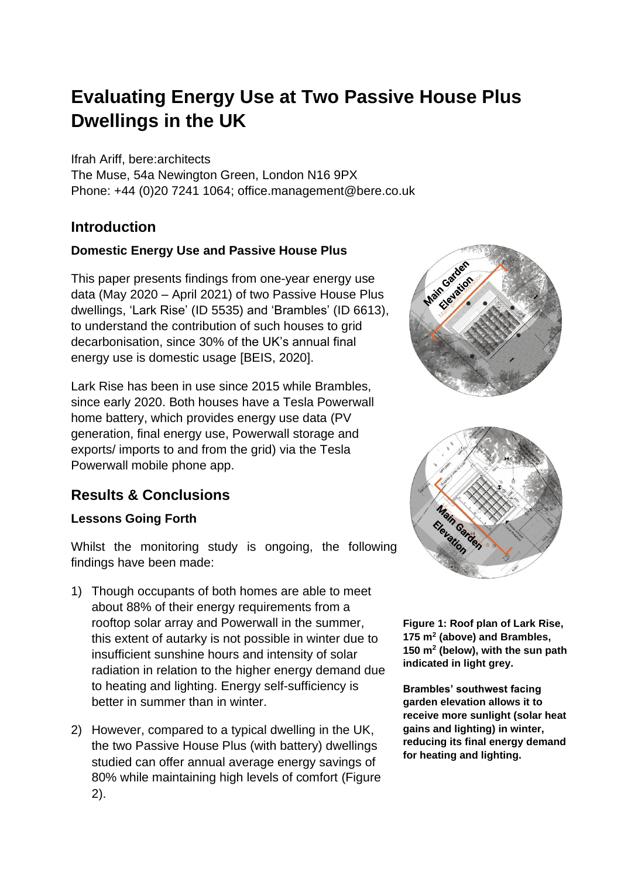# **Evaluating Energy Use at Two Passive House Plus Dwellings in the UK**

Ifrah Ariff, bere:architects

The Muse, 54a Newington Green, London N16 9PX Phone: +44 (0)20 7241 1064; office.management@bere.co.uk

## **Introduction**

### **Domestic Energy Use and Passive House Plus**

This paper presents findings from one-year energy use data (May 2020 – April 2021) of two Passive House Plus dwellings, 'Lark Rise' (ID 5535) and 'Brambles' (ID 6613), to understand the contribution of such houses to grid decarbonisation, since 30% of the UK's annual final energy use is domestic usage [BEIS, 2020].

Lark Rise has been in use since 2015 while Brambles, since early 2020. Both houses have a Tesla Powerwall home battery, which provides energy use data (PV generation, final energy use, Powerwall storage and exports/ imports to and from the grid) via the Tesla Powerwall mobile phone app.

# **Results & Conclusions**

#### **Lessons Going Forth**

Whilst the monitoring study is ongoing, the following findings have been made:

- 1) Though occupants of both homes are able to meet about 88% of their energy requirements from a rooftop solar array and Powerwall in the summer, this extent of autarky is not possible in winter due to insufficient sunshine hours and intensity of solar radiation in relation to the higher energy demand due to heating and lighting. Energy self-sufficiency is better in summer than in winter.
- 2) However, compared to a typical dwelling in the UK, the two Passive House Plus (with battery) dwellings studied can offer annual average energy savings of 80% while maintaining high levels of comfort (Figure 2).





**Figure 1: Roof plan of Lark Rise, 175 m<sup>2</sup> (above) and Brambles, 150 m<sup>2</sup> (below), with the sun path indicated in light grey.**

**Brambles' southwest facing garden elevation allows it to receive more sunlight (solar heat gains and lighting) in winter, reducing its final energy demand for heating and lighting.**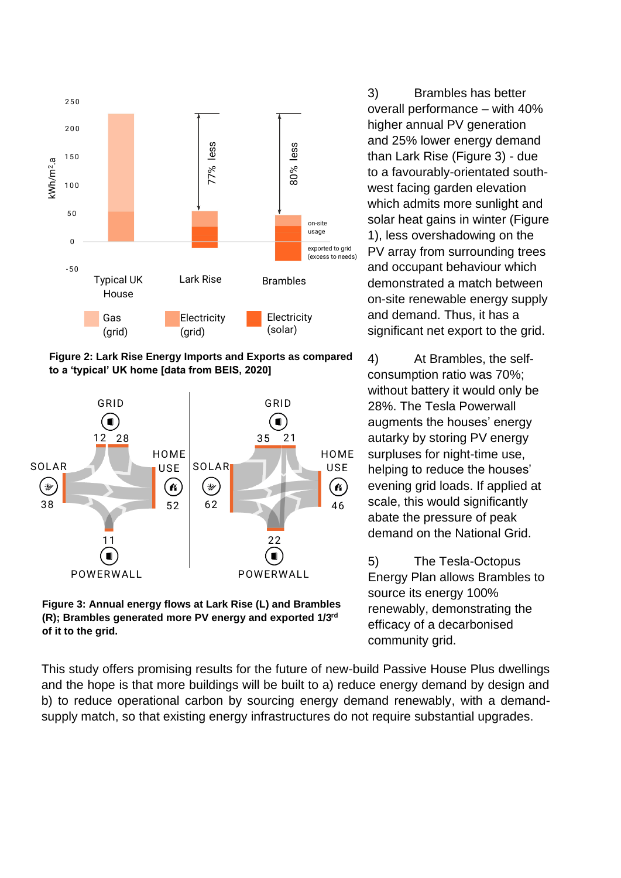

**Figure 2: Lark Rise Energy Imports and Exports as compared** 



**Figure 3: Annual energy flows at Lark Rise (L) and Brambles (R); Brambles generated more PV energy and exported 1/3rd of it to the grid.**

3) Brambles has better overall performance – with 40% higher annual PV generation and 25% lower energy demand than Lark Rise (Figure 3) - due to a favourably-orientated southwest facing garden elevation which admits more sunlight and solar heat gains in winter (Figure 1), less overshadowing on the PV array from surrounding trees and occupant behaviour which demonstrated a match between on-site renewable energy supply and demand. Thus, it has a significant net export to the grid.

4) At Brambles, the selfconsumption ratio was 70%; without battery it would only be 28%. The Tesla Powerwall augments the houses' energy autarky by storing PV energy surpluses for night-time use, helping to reduce the houses' evening grid loads. If applied at scale, this would significantly abate the pressure of peak demand on the National Grid.

5) The Tesla-Octopus Energy Plan allows Brambles to source its energy 100% renewably, demonstrating the efficacy of a decarbonised community grid.

This study offers promising results for the future of new-build Passive House Plus dwellings and the hope is that more buildings will be built to a) reduce energy demand by design and b) to reduce operational carbon by sourcing energy demand renewably, with a demandsupply match, so that existing energy infrastructures do not require substantial upgrades.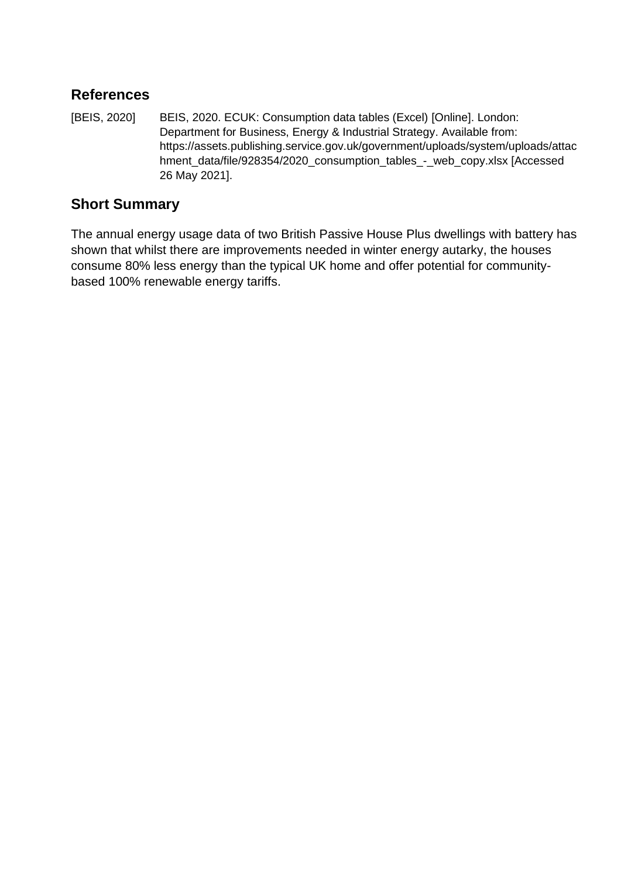## **References**

[BEIS, 2020] BEIS, 2020. ECUK: Consumption data tables (Excel) [Online]. London: Department for Business, Energy & Industrial Strategy. Available from: https://assets.publishing.service.gov.uk/government/uploads/system/uploads/attac hment\_data/file/928354/2020\_consumption\_tables\_-\_web\_copy.xlsx [Accessed 26 May 2021].

# **Short Summary**

The annual energy usage data of two British Passive House Plus dwellings with battery has shown that whilst there are improvements needed in winter energy autarky, the houses consume 80% less energy than the typical UK home and offer potential for communitybased 100% renewable energy tariffs.